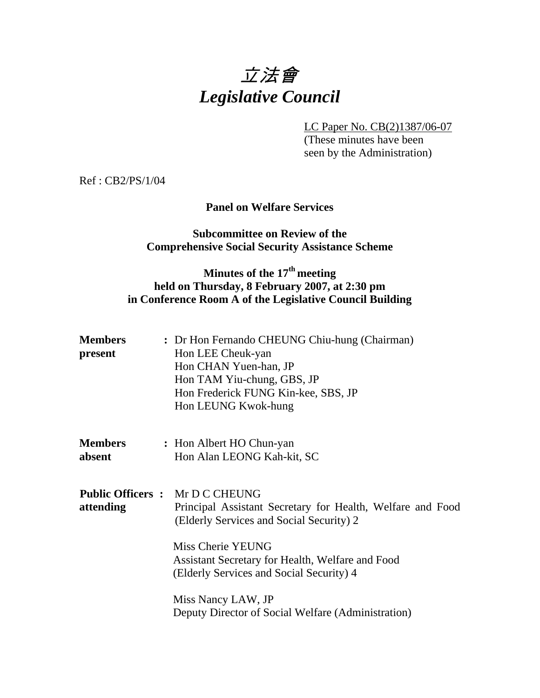

LC Paper No. CB(2)1387/06-07

 (These minutes have been seen by the Administration)

Ref : CB2/PS/1/04

## **Panel on Welfare Services**

### **Subcommittee on Review of the Comprehensive Social Security Assistance Scheme**

# **Minutes of the 17th meeting held on Thursday, 8 February 2007, at 2:30 pm in Conference Room A of the Legislative Council Building**

| <b>Members</b><br>present | : Dr Hon Fernando CHEUNG Chiu-hung (Chairman)<br>Hon LEE Cheuk-yan<br>Hon CHAN Yuen-han, JP<br>Hon TAM Yiu-chung, GBS, JP<br>Hon Frederick FUNG Kin-kee, SBS, JP<br>Hon LEUNG Kwok-hung |
|---------------------------|-----------------------------------------------------------------------------------------------------------------------------------------------------------------------------------------|
| <b>Members</b><br>absent  | : Hon Albert HO Chun-yan<br>Hon Alan LEONG Kah-kit, SC                                                                                                                                  |
| attending                 | <b>Public Officers : Mr D C CHEUNG</b><br>Principal Assistant Secretary for Health, Welfare and Food<br>(Elderly Services and Social Security) 2                                        |
|                           | Miss Cherie YEUNG<br>Assistant Secretary for Health, Welfare and Food<br>(Elderly Services and Social Security) 4                                                                       |
|                           | Miss Nancy LAW, JP<br>Deputy Director of Social Welfare (Administration)                                                                                                                |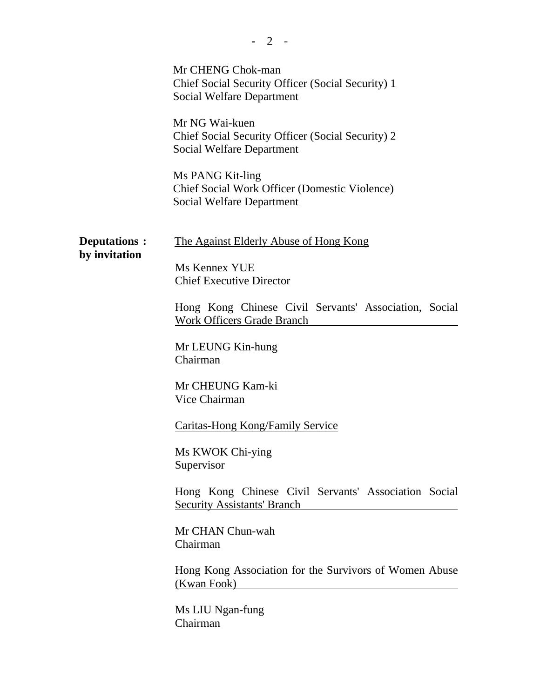|                                | 2                                                                                                            |
|--------------------------------|--------------------------------------------------------------------------------------------------------------|
|                                | Mr CHENG Chok-man<br>Chief Social Security Officer (Social Security) 1<br><b>Social Welfare Department</b>   |
|                                | Mr NG Wai-kuen<br>Chief Social Security Officer (Social Security) 2<br><b>Social Welfare Department</b>      |
|                                | Ms PANG Kit-ling<br><b>Chief Social Work Officer (Domestic Violence)</b><br><b>Social Welfare Department</b> |
| Deputations :<br>by invitation | <u>The Against Elderly Abuse of Hong Kong</u><br>Ms Kennex YUE                                               |
|                                | <b>Chief Executive Director</b>                                                                              |
|                                | Hong Kong Chinese Civil Servants' Association, Social<br><b>Work Officers Grade Branch</b>                   |
|                                | Mr LEUNG Kin-hung<br>Chairman                                                                                |
|                                | Mr CHEUNG Kam-ki<br>Vice Chairman                                                                            |
|                                | <b>Caritas-Hong Kong/Family Service</b>                                                                      |
|                                | Ms KWOK Chi-ying<br>Supervisor                                                                               |
|                                | Hong Kong Chinese Civil Servants' Association Social<br><b>Security Assistants' Branch</b>                   |
|                                | Mr CHAN Chun-wah<br>Chairman                                                                                 |
|                                | Hong Kong Association for the Survivors of Women Abuse<br>(Kwan Fook)                                        |
|                                | Ms LIU Ngan-fung<br>Chairman                                                                                 |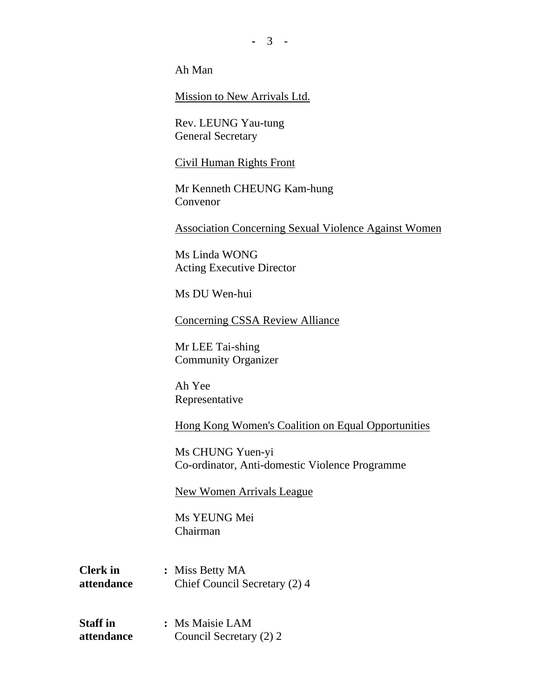**-** 3 -

Ah Man

Mission to New Arrivals Ltd.

Rev. LEUNG Yau-tung General Secretary

#### Civil Human Rights Front

Mr Kenneth CHEUNG Kam-hung Convenor

Association Concerning Sexual Violence Against Women

Ms Linda WONG Acting Executive Director

Ms DU Wen-hui

Concerning CSSA Review Alliance

Mr LEE Tai-shing Community Organizer

Ah Yee Representative

Hong Kong Women's Coalition on Equal Opportunities

Ms CHUNG Yuen-yi Co-ordinator, Anti-domestic Violence Programme

#### New Women Arrivals League

Ms YEUNG Mei Chairman

**Clerk in : Miss Betty MA attendance** Chief Council Secretary (2) 4

**Staff in : Ms Maisie LAM attendance** Council Secretary (2) 2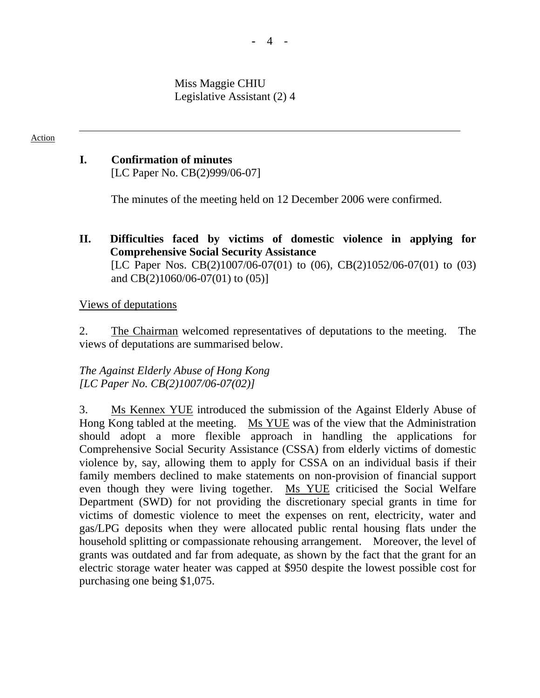Miss Maggie CHIU Legislative Assistant (2) 4

### Action

# **I. Confirmation of minutes**

[LC Paper No. CB(2)999/06-07]

The minutes of the meeting held on 12 December 2006 were confirmed.

## **II. Difficulties faced by victims of domestic violence in applying for Comprehensive Social Security Assistance**  [LC Paper Nos. CB(2)1007/06-07(01) to (06), CB(2)1052/06-07(01) to (03) and CB(2)1060/06-07(01) to (05)]

### Views of deputations

2. The Chairman welcomed representatives of deputations to the meeting. The views of deputations are summarised below.

## *The Against Elderly Abuse of Hong Kong [LC Paper No. CB(2)1007/06-07(02)]*

3. Ms Kennex YUE introduced the submission of the Against Elderly Abuse of Hong Kong tabled at the meeting. Ms YUE was of the view that the Administration should adopt a more flexible approach in handling the applications for Comprehensive Social Security Assistance (CSSA) from elderly victims of domestic violence by, say, allowing them to apply for CSSA on an individual basis if their family members declined to make statements on non-provision of financial support even though they were living together. Ms YUE criticised the Social Welfare Department (SWD) for not providing the discretionary special grants in time for victims of domestic violence to meet the expenses on rent, electricity, water and gas/LPG deposits when they were allocated public rental housing flats under the household splitting or compassionate rehousing arrangement. Moreover, the level of grants was outdated and far from adequate, as shown by the fact that the grant for an electric storage water heater was capped at \$950 despite the lowest possible cost for purchasing one being \$1,075.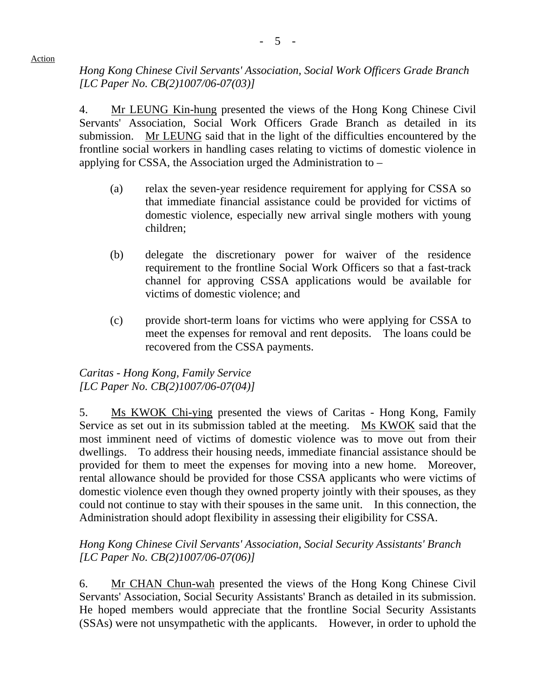*Hong Kong Chinese Civil Servants' Association, Social Work Officers Grade Branch [LC Paper No. CB(2)1007/06-07(03)]* 

4. Mr LEUNG Kin-hung presented the views of the Hong Kong Chinese Civil Servants' Association, Social Work Officers Grade Branch as detailed in its submission. Mr LEUNG said that in the light of the difficulties encountered by the frontline social workers in handling cases relating to victims of domestic violence in applying for CSSA, the Association urged the Administration to –

- (a) relax the seven-year residence requirement for applying for CSSA so that immediate financial assistance could be provided for victims of domestic violence, especially new arrival single mothers with young children;
- (b) delegate the discretionary power for waiver of the residence requirement to the frontline Social Work Officers so that a fast-track channel for approving CSSA applications would be available for victims of domestic violence; and
- (c) provide short-term loans for victims who were applying for CSSA to meet the expenses for removal and rent deposits. The loans could be recovered from the CSSA payments.

# *Caritas - Hong Kong, Family Service [LC Paper No. CB(2)1007/06-07(04)]*

5. Ms KWOK Chi-ying presented the views of Caritas - Hong Kong, Family Service as set out in its submission tabled at the meeting. Ms KWOK said that the most imminent need of victims of domestic violence was to move out from their dwellings. To address their housing needs, immediate financial assistance should be provided for them to meet the expenses for moving into a new home. Moreover, rental allowance should be provided for those CSSA applicants who were victims of domestic violence even though they owned property jointly with their spouses, as they could not continue to stay with their spouses in the same unit. In this connection, the Administration should adopt flexibility in assessing their eligibility for CSSA.

## *Hong Kong Chinese Civil Servants' Association, Social Security Assistants' Branch [LC Paper No. CB(2)1007/06-07(06)]*

6. Mr CHAN Chun-wah presented the views of the Hong Kong Chinese Civil Servants' Association, Social Security Assistants' Branch as detailed in its submission. He hoped members would appreciate that the frontline Social Security Assistants (SSAs) were not unsympathetic with the applicants. However, in order to uphold the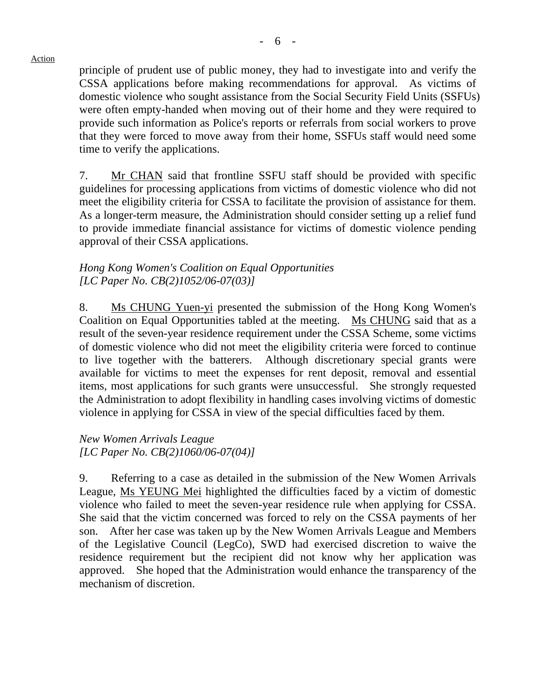principle of prudent use of public money, they had to investigate into and verify the CSSA applications before making recommendations for approval. As victims of domestic violence who sought assistance from the Social Security Field Units (SSFUs) were often empty-handed when moving out of their home and they were required to provide such information as Police's reports or referrals from social workers to prove that they were forced to move away from their home, SSFUs staff would need some time to verify the applications.

7. Mr CHAN said that frontline SSFU staff should be provided with specific guidelines for processing applications from victims of domestic violence who did not meet the eligibility criteria for CSSA to facilitate the provision of assistance for them. As a longer-term measure, the Administration should consider setting up a relief fund to provide immediate financial assistance for victims of domestic violence pending approval of their CSSA applications.

## *Hong Kong Women's Coalition on Equal Opportunities [LC Paper No. CB(2)1052/06-07(03)]*

8. Ms CHUNG Yuen-yi presented the submission of the Hong Kong Women's Coalition on Equal Opportunities tabled at the meeting. Ms CHUNG said that as a result of the seven-year residence requirement under the CSSA Scheme, some victims of domestic violence who did not meet the eligibility criteria were forced to continue to live together with the batterers. Although discretionary special grants were available for victims to meet the expenses for rent deposit, removal and essential items, most applications for such grants were unsuccessful. She strongly requested the Administration to adopt flexibility in handling cases involving victims of domestic violence in applying for CSSA in view of the special difficulties faced by them.

# *New Women Arrivals League [LC Paper No. CB(2)1060/06-07(04)]*

9. Referring to a case as detailed in the submission of the New Women Arrivals League, Ms YEUNG Mei highlighted the difficulties faced by a victim of domestic violence who failed to meet the seven-year residence rule when applying for CSSA. She said that the victim concerned was forced to rely on the CSSA payments of her son. After her case was taken up by the New Women Arrivals League and Members of the Legislative Council (LegCo), SWD had exercised discretion to waive the residence requirement but the recipient did not know why her application was approved. She hoped that the Administration would enhance the transparency of the mechanism of discretion.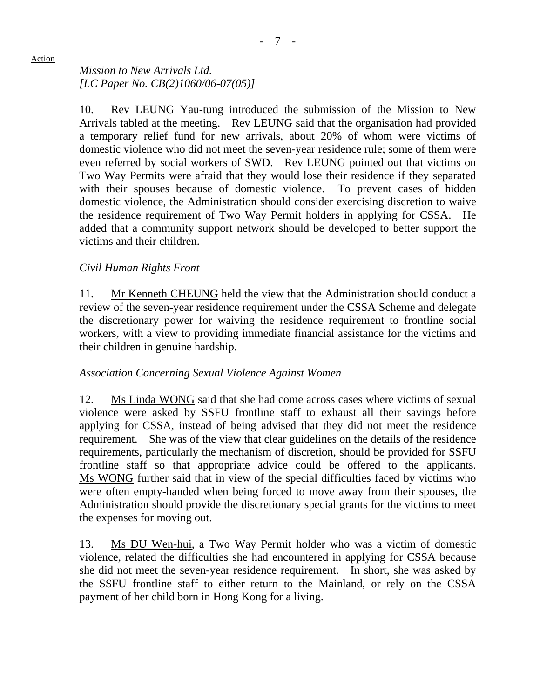# *Mission to New Arrivals Ltd. [LC Paper No. CB(2)1060/06-07(05)]*

10. Rev LEUNG Yau-tung introduced the submission of the Mission to New Arrivals tabled at the meeting. Rev LEUNG said that the organisation had provided a temporary relief fund for new arrivals, about 20% of whom were victims of domestic violence who did not meet the seven-year residence rule; some of them were even referred by social workers of SWD. Rev LEUNG pointed out that victims on Two Way Permits were afraid that they would lose their residence if they separated with their spouses because of domestic violence. To prevent cases of hidden domestic violence, the Administration should consider exercising discretion to waive the residence requirement of Two Way Permit holders in applying for CSSA. He added that a community support network should be developed to better support the victims and their children.

# *Civil Human Rights Front*

11. Mr Kenneth CHEUNG held the view that the Administration should conduct a review of the seven-year residence requirement under the CSSA Scheme and delegate the discretionary power for waiving the residence requirement to frontline social workers, with a view to providing immediate financial assistance for the victims and their children in genuine hardship.

# *Association Concerning Sexual Violence Against Women*

12. Ms Linda WONG said that she had come across cases where victims of sexual violence were asked by SSFU frontline staff to exhaust all their savings before applying for CSSA, instead of being advised that they did not meet the residence requirement. She was of the view that clear guidelines on the details of the residence requirements, particularly the mechanism of discretion, should be provided for SSFU frontline staff so that appropriate advice could be offered to the applicants. Ms WONG further said that in view of the special difficulties faced by victims who were often empty-handed when being forced to move away from their spouses, the Administration should provide the discretionary special grants for the victims to meet the expenses for moving out.

13. Ms DU Wen-hui, a Two Way Permit holder who was a victim of domestic violence, related the difficulties she had encountered in applying for CSSA because she did not meet the seven-year residence requirement. In short, she was asked by the SSFU frontline staff to either return to the Mainland, or rely on the CSSA payment of her child born in Hong Kong for a living.

#### Action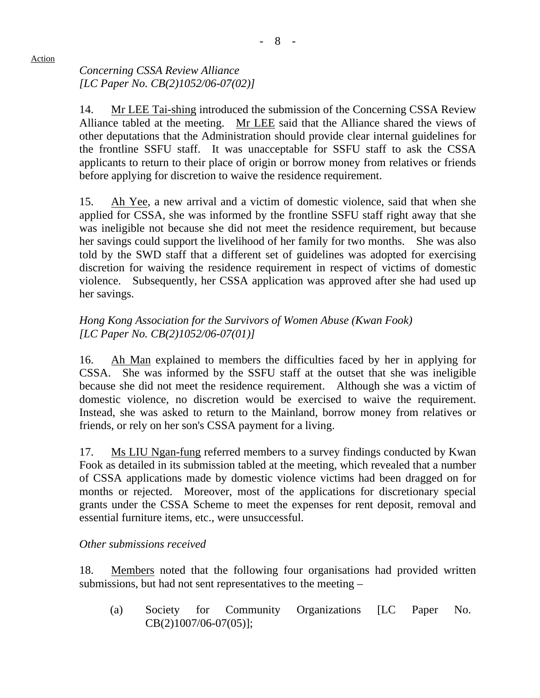*Concerning CSSA Review Alliance [LC Paper No. CB(2)1052/06-07(02)]* 

14. Mr LEE Tai-shing introduced the submission of the Concerning CSSA Review Alliance tabled at the meeting. Mr LEE said that the Alliance shared the views of other deputations that the Administration should provide clear internal guidelines for the frontline SSFU staff. It was unacceptable for SSFU staff to ask the CSSA applicants to return to their place of origin or borrow money from relatives or friends before applying for discretion to waive the residence requirement.

15. Ah Yee, a new arrival and a victim of domestic violence, said that when she applied for CSSA, she was informed by the frontline SSFU staff right away that she was ineligible not because she did not meet the residence requirement, but because her savings could support the livelihood of her family for two months. She was also told by the SWD staff that a different set of guidelines was adopted for exercising discretion for waiving the residence requirement in respect of victims of domestic violence. Subsequently, her CSSA application was approved after she had used up her savings.

# *Hong Kong Association for the Survivors of Women Abuse (Kwan Fook) [LC Paper No. CB(2)1052/06-07(01)]*

16. Ah Man explained to members the difficulties faced by her in applying for CSSA. She was informed by the SSFU staff at the outset that she was ineligible because she did not meet the residence requirement. Although she was a victim of domestic violence, no discretion would be exercised to waive the requirement. Instead, she was asked to return to the Mainland, borrow money from relatives or friends, or rely on her son's CSSA payment for a living.

17. Ms LIU Ngan-fung referred members to a survey findings conducted by Kwan Fook as detailed in its submission tabled at the meeting, which revealed that a number of CSSA applications made by domestic violence victims had been dragged on for months or rejected. Moreover, most of the applications for discretionary special grants under the CSSA Scheme to meet the expenses for rent deposit, removal and essential furniture items, etc., were unsuccessful.

# *Other submissions received*

18. Members noted that the following four organisations had provided written submissions, but had not sent representatives to the meeting –

(a) Society for Community Organizations [LC Paper No. CB(2)1007/06-07(05)];

## Action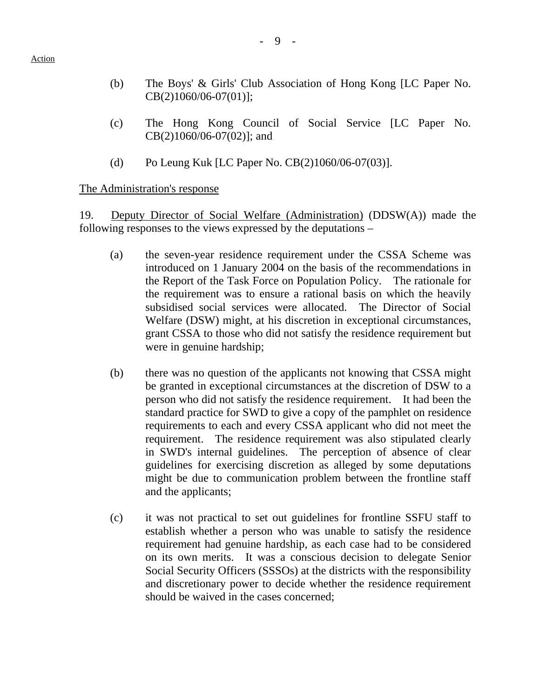- (b) The Boys' & Girls' Club Association of Hong Kong [LC Paper No. CB(2)1060/06-07(01)];
- (c) The Hong Kong Council of Social Service [LC Paper No. CB(2)1060/06-07(02)]; and
- (d) Po Leung Kuk [LC Paper No. CB(2)1060/06-07(03)].

### The Administration's response

19. Deputy Director of Social Welfare (Administration) (DDSW(A)) made the following responses to the views expressed by the deputations –

- (a) the seven-year residence requirement under the CSSA Scheme was introduced on 1 January 2004 on the basis of the recommendations in the Report of the Task Force on Population Policy. The rationale for the requirement was to ensure a rational basis on which the heavily subsidised social services were allocated. The Director of Social Welfare (DSW) might, at his discretion in exceptional circumstances, grant CSSA to those who did not satisfy the residence requirement but were in genuine hardship;
- (b) there was no question of the applicants not knowing that CSSA might be granted in exceptional circumstances at the discretion of DSW to a person who did not satisfy the residence requirement. It had been the standard practice for SWD to give a copy of the pamphlet on residence requirements to each and every CSSA applicant who did not meet the requirement. The residence requirement was also stipulated clearly in SWD's internal guidelines. The perception of absence of clear guidelines for exercising discretion as alleged by some deputations might be due to communication problem between the frontline staff and the applicants;
- (c) it was not practical to set out guidelines for frontline SSFU staff to establish whether a person who was unable to satisfy the residence requirement had genuine hardship, as each case had to be considered on its own merits. It was a conscious decision to delegate Senior Social Security Officers (SSSOs) at the districts with the responsibility and discretionary power to decide whether the residence requirement should be waived in the cases concerned;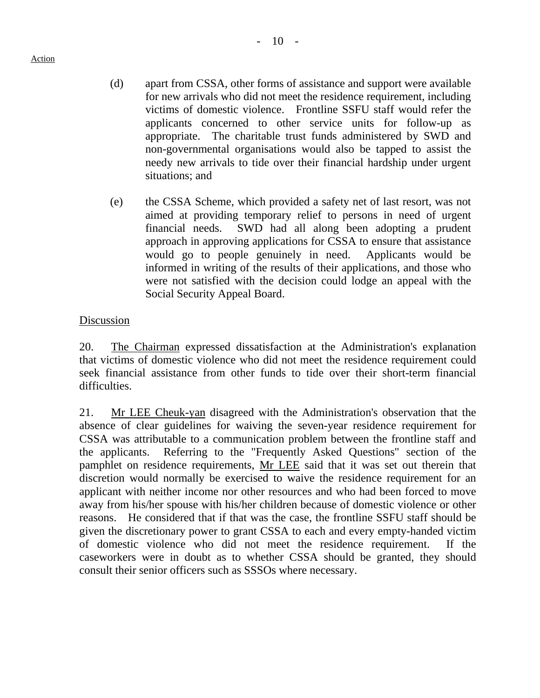- (d) apart from CSSA, other forms of assistance and support were available for new arrivals who did not meet the residence requirement, including victims of domestic violence. Frontline SSFU staff would refer the applicants concerned to other service units for follow-up as appropriate. The charitable trust funds administered by SWD and non-governmental organisations would also be tapped to assist the needy new arrivals to tide over their financial hardship under urgent situations; and
- (e) the CSSA Scheme, which provided a safety net of last resort, was not aimed at providing temporary relief to persons in need of urgent financial needs. SWD had all along been adopting a prudent approach in approving applications for CSSA to ensure that assistance would go to people genuinely in need. Applicants would be informed in writing of the results of their applications, and those who were not satisfied with the decision could lodge an appeal with the Social Security Appeal Board.

## **Discussion**

20. The Chairman expressed dissatisfaction at the Administration's explanation that victims of domestic violence who did not meet the residence requirement could seek financial assistance from other funds to tide over their short-term financial difficulties.

21. Mr LEE Cheuk-yan disagreed with the Administration's observation that the absence of clear guidelines for waiving the seven-year residence requirement for CSSA was attributable to a communication problem between the frontline staff and the applicants. Referring to the "Frequently Asked Questions" section of the pamphlet on residence requirements, Mr LEE said that it was set out therein that discretion would normally be exercised to waive the residence requirement for an applicant with neither income nor other resources and who had been forced to move away from his/her spouse with his/her children because of domestic violence or other reasons. He considered that if that was the case, the frontline SSFU staff should be given the discretionary power to grant CSSA to each and every empty-handed victim of domestic violence who did not meet the residence requirement. If the caseworkers were in doubt as to whether CSSA should be granted, they should consult their senior officers such as SSSOs where necessary.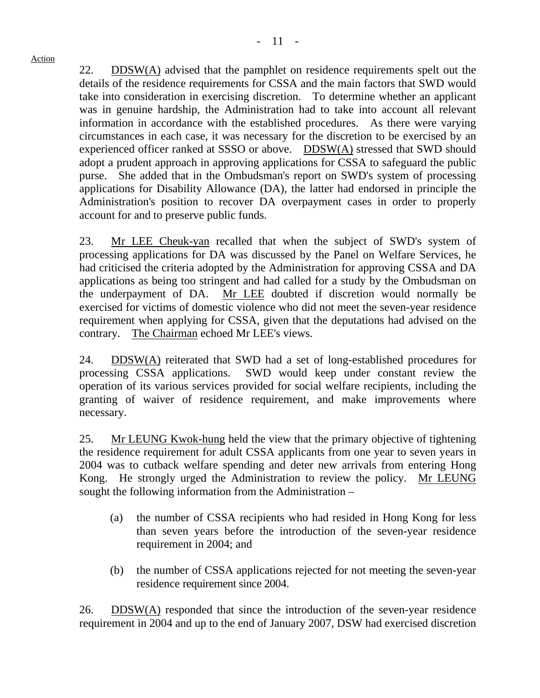22. DDSW(A) advised that the pamphlet on residence requirements spelt out the details of the residence requirements for CSSA and the main factors that SWD would take into consideration in exercising discretion. To determine whether an applicant was in genuine hardship, the Administration had to take into account all relevant information in accordance with the established procedures. As there were varying circumstances in each case, it was necessary for the discretion to be exercised by an experienced officer ranked at SSSO or above. DDSW(A) stressed that SWD should adopt a prudent approach in approving applications for CSSA to safeguard the public purse. She added that in the Ombudsman's report on SWD's system of processing applications for Disability Allowance (DA), the latter had endorsed in principle the Administration's position to recover DA overpayment cases in order to properly account for and to preserve public funds.

23. Mr LEE Cheuk-yan recalled that when the subject of SWD's system of processing applications for DA was discussed by the Panel on Welfare Services, he had criticised the criteria adopted by the Administration for approving CSSA and DA applications as being too stringent and had called for a study by the Ombudsman on the underpayment of DA. Mr LEE doubted if discretion would normally be exercised for victims of domestic violence who did not meet the seven-year residence requirement when applying for CSSA, given that the deputations had advised on the contrary. The Chairman echoed Mr LEE's views.

24. DDSW $(A)$  reiterated that SWD had a set of long-established procedures for processing CSSA applications. SWD would keep under constant review the operation of its various services provided for social welfare recipients, including the granting of waiver of residence requirement, and make improvements where necessary.

25. Mr LEUNG Kwok-hung held the view that the primary objective of tightening the residence requirement for adult CSSA applicants from one year to seven years in 2004 was to cutback welfare spending and deter new arrivals from entering Hong Kong. He strongly urged the Administration to review the policy. Mr LEUNG sought the following information from the Administration –

- (a) the number of CSSA recipients who had resided in Hong Kong for less than seven years before the introduction of the seven-year residence requirement in 2004; and
- (b) the number of CSSA applications rejected for not meeting the seven-year residence requirement since 2004.

26. DDSW(A) responded that since the introduction of the seven-year residence requirement in 2004 and up to the end of January 2007, DSW had exercised discretion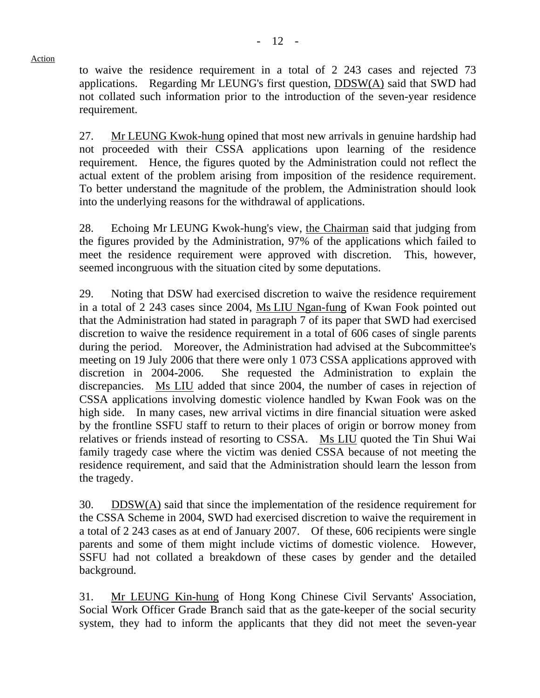to waive the residence requirement in a total of 2 243 cases and rejected 73 applications. Regarding Mr LEUNG's first question,  $DDSW(A)$  said that SWD had not collated such information prior to the introduction of the seven-year residence requirement.

27. Mr LEUNG Kwok-hung opined that most new arrivals in genuine hardship had not proceeded with their CSSA applications upon learning of the residence requirement. Hence, the figures quoted by the Administration could not reflect the actual extent of the problem arising from imposition of the residence requirement. To better understand the magnitude of the problem, the Administration should look into the underlying reasons for the withdrawal of applications.

28. Echoing Mr LEUNG Kwok-hung's view, the Chairman said that judging from the figures provided by the Administration, 97% of the applications which failed to meet the residence requirement were approved with discretion. This, however, seemed incongruous with the situation cited by some deputations.

29. Noting that DSW had exercised discretion to waive the residence requirement in a total of 2 243 cases since 2004, Ms LIU Ngan-fung of Kwan Fook pointed out that the Administration had stated in paragraph 7 of its paper that SWD had exercised discretion to waive the residence requirement in a total of 606 cases of single parents during the period. Moreover, the Administration had advised at the Subcommittee's meeting on 19 July 2006 that there were only 1 073 CSSA applications approved with discretion in 2004-2006. She requested the Administration to explain the discrepancies. Ms LIU added that since 2004, the number of cases in rejection of CSSA applications involving domestic violence handled by Kwan Fook was on the high side. In many cases, new arrival victims in dire financial situation were asked by the frontline SSFU staff to return to their places of origin or borrow money from relatives or friends instead of resorting to CSSA. Ms LIU quoted the Tin Shui Wai family tragedy case where the victim was denied CSSA because of not meeting the residence requirement, and said that the Administration should learn the lesson from the tragedy.

30. DDSW(A) said that since the implementation of the residence requirement for the CSSA Scheme in 2004, SWD had exercised discretion to waive the requirement in a total of 2,243 cases as at end of January 2007. Of these, 606 recipients were single parents and some of them might include victims of domestic violence. However, SSFU had not collated a breakdown of these cases by gender and the detailed background.

31. Mr LEUNG Kin-hung of Hong Kong Chinese Civil Servants' Association, Social Work Officer Grade Branch said that as the gate-keeper of the social security system, they had to inform the applicants that they did not meet the seven-year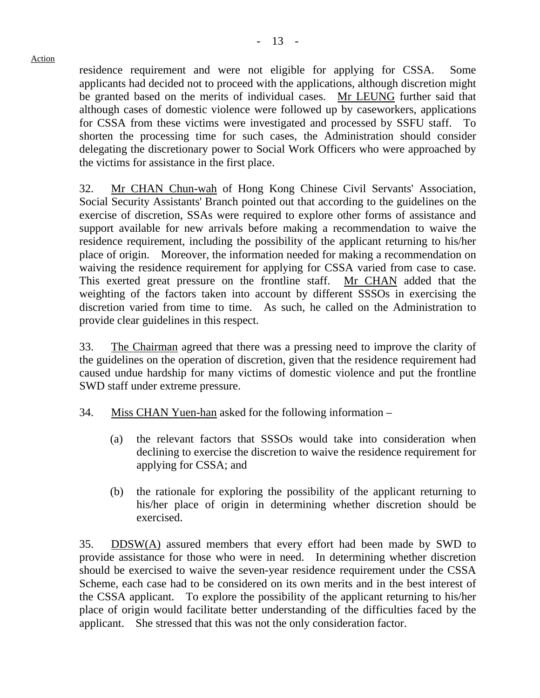residence requirement and were not eligible for applying for CSSA. Some applicants had decided not to proceed with the applications, although discretion might be granted based on the merits of individual cases. Mr LEUNG further said that although cases of domestic violence were followed up by caseworkers, applications for CSSA from these victims were investigated and processed by SSFU staff. shorten the processing time for such cases, the Administration should consider delegating the discretionary power to Social Work Officers who were approached by the victims for assistance in the first place.

32. Mr CHAN Chun-wah of Hong Kong Chinese Civil Servants' Association, Social Security Assistants' Branch pointed out that according to the guidelines on the exercise of discretion, SSAs were required to explore other forms of assistance and support available for new arrivals before making a recommendation to waive the residence requirement, including the possibility of the applicant returning to his/her place of origin. Moreover, the information needed for making a recommendation on waiving the residence requirement for applying for CSSA varied from case to case. This exerted great pressure on the frontline staff. Mr CHAN added that the weighting of the factors taken into account by different SSSOs in exercising the discretion varied from time to time. As such, he called on the Administration to provide clear guidelines in this respect.

33. The Chairman agreed that there was a pressing need to improve the clarity of the guidelines on the operation of discretion, given that the residence requirement had caused undue hardship for many victims of domestic violence and put the frontline SWD staff under extreme pressure.

- 34. Miss CHAN Yuen-han asked for the following information
	- (a) the relevant factors that SSSOs would take into consideration when declining to exercise the discretion to waive the residence requirement for applying for CSSA; and
	- (b) the rationale for exploring the possibility of the applicant returning to his/her place of origin in determining whether discretion should be exercised.

35. DDSW(A) assured members that every effort had been made by SWD to provide assistance for those who were in need. In determining whether discretion should be exercised to waive the seven-year residence requirement under the CSSA Scheme, each case had to be considered on its own merits and in the best interest of the CSSA applicant. To explore the possibility of the applicant returning to his/her place of origin would facilitate better understanding of the difficulties faced by the applicant. She stressed that this was not the only consideration factor.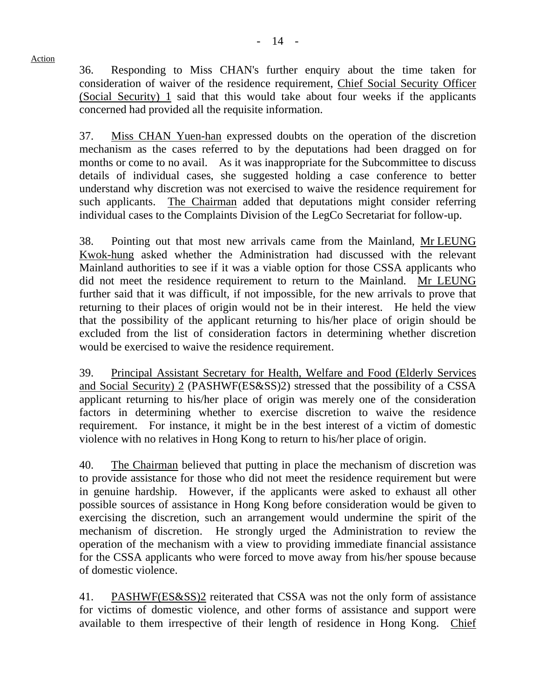36. Responding to Miss CHAN's further enquiry about the time taken for consideration of waiver of the residence requirement, Chief Social Security Officer (Social Security) 1 said that this would take about four weeks if the applicants concerned had provided all the requisite information.

37. Miss CHAN Yuen-han expressed doubts on the operation of the discretion mechanism as the cases referred to by the deputations had been dragged on for months or come to no avail. As it was inappropriate for the Subcommittee to discuss details of individual cases, she suggested holding a case conference to better understand why discretion was not exercised to waive the residence requirement for such applicants. The Chairman added that deputations might consider referring individual cases to the Complaints Division of the LegCo Secretariat for follow-up.

38. Pointing out that most new arrivals came from the Mainland, Mr LEUNG Kwok-hung asked whether the Administration had discussed with the relevant Mainland authorities to see if it was a viable option for those CSSA applicants who did not meet the residence requirement to return to the Mainland. Mr LEUNG further said that it was difficult, if not impossible, for the new arrivals to prove that returning to their places of origin would not be in their interest. He held the view that the possibility of the applicant returning to his/her place of origin should be excluded from the list of consideration factors in determining whether discretion would be exercised to waive the residence requirement.

39. Principal Assistant Secretary for Health, Welfare and Food (Elderly Services and Social Security) 2 (PASHWF(ES&SS)2) stressed that the possibility of a CSSA applicant returning to his/her place of origin was merely one of the consideration factors in determining whether to exercise discretion to waive the residence requirement. For instance, it might be in the best interest of a victim of domestic violence with no relatives in Hong Kong to return to his/her place of origin.

40. The Chairman believed that putting in place the mechanism of discretion was to provide assistance for those who did not meet the residence requirement but were in genuine hardship. However, if the applicants were asked to exhaust all other possible sources of assistance in Hong Kong before consideration would be given to exercising the discretion, such an arrangement would undermine the spirit of the mechanism of discretion. He strongly urged the Administration to review the operation of the mechanism with a view to providing immediate financial assistance for the CSSA applicants who were forced to move away from his/her spouse because of domestic violence.

41. PASHWF(ES&SS)2 reiterated that CSSA was not the only form of assistance for victims of domestic violence, and other forms of assistance and support were available to them irrespective of their length of residence in Hong Kong. Chief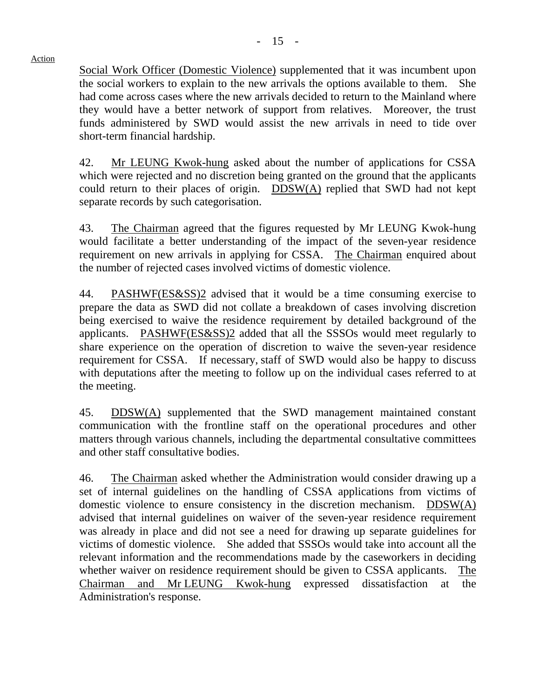- 15 -

### Action

Social Work Officer (Domestic Violence) supplemented that it was incumbent upon the social workers to explain to the new arrivals the options available to them. She had come across cases where the new arrivals decided to return to the Mainland where they would have a better network of support from relatives. Moreover, the trust funds administered by SWD would assist the new arrivals in need to tide over short-term financial hardship.

42. Mr LEUNG Kwok-hung asked about the number of applications for CSSA which were rejected and no discretion being granted on the ground that the applicants could return to their places of origin. DDSW(A) replied that SWD had not kept separate records by such categorisation.

43. The Chairman agreed that the figures requested by Mr LEUNG Kwok-hung would facilitate a better understanding of the impact of the seven-year residence requirement on new arrivals in applying for CSSA. The Chairman enquired about the number of rejected cases involved victims of domestic violence.

44. PASHWF(ES&SS)2 advised that it would be a time consuming exercise to prepare the data as SWD did not collate a breakdown of cases involving discretion being exercised to waive the residence requirement by detailed background of the applicants. PASHWF(ES&SS)2 added that all the SSSOs would meet regularly to share experience on the operation of discretion to waive the seven-year residence requirement for CSSA. If necessary, staff of SWD would also be happy to discuss with deputations after the meeting to follow up on the individual cases referred to at the meeting.

45. DDSW(A) supplemented that the SWD management maintained constant communication with the frontline staff on the operational procedures and other matters through various channels, including the departmental consultative committees and other staff consultative bodies.

46. The Chairman asked whether the Administration would consider drawing up a set of internal guidelines on the handling of CSSA applications from victims of domestic violence to ensure consistency in the discretion mechanism. DDSW(A) advised that internal guidelines on waiver of the seven-year residence requirement was already in place and did not see a need for drawing up separate guidelines for victims of domestic violence. She added that SSSOs would take into account all the relevant information and the recommendations made by the caseworkers in deciding whether waiver on residence requirement should be given to CSSA applicants. The Chairman and Mr LEUNG Kwok-hung expressed dissatisfaction at the Administration's response.